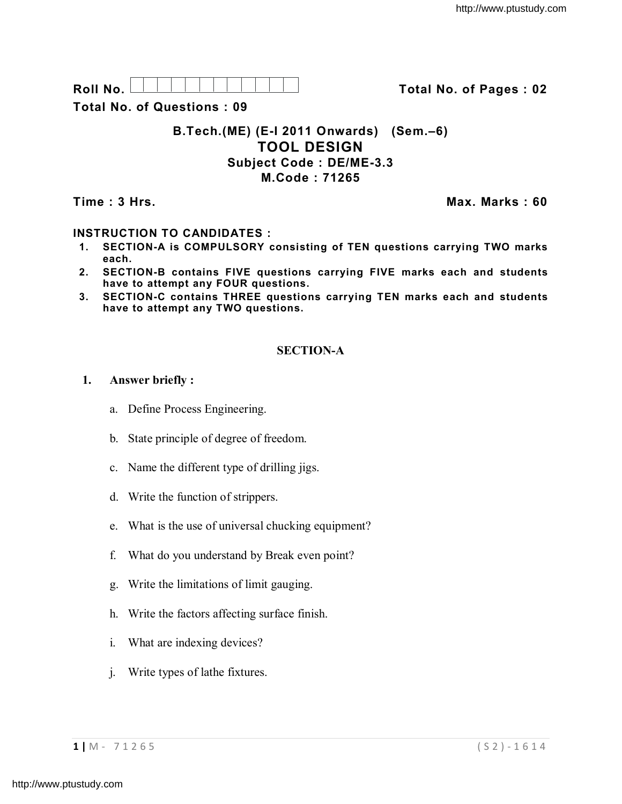**Roll No. Total No. of Pages : 02**

**Total No. of Questions : 09**

## **B.Tech.(ME) (E-I 2011 Onwards) (Sem.–6) TOOL DESIGN Subject Code : DE/ME-3.3 M.Code : 71265**

**Time : 3 Hrs. Max. Marks : 60**

# **INSTRUCTION TO CANDIDATES :**

- **1. SECTION-A is COMPULSORY consisting of TEN questions carrying TWO marks each.**
- **2. SECTION-B contains FIVE questions carrying FIVE marks each and students have to attempt any FOUR questions.**
- **3. SECTION-C contains THREE questions carrying TEN marks each and students have to attempt any TWO questions.**

# **SECTION-A**

## **1. Answer briefly :**

- a. Define Process Engineering.
- b. State principle of degree of freedom.
- c. Name the different type of drilling jigs.
- d. Write the function of strippers.
- e. What is the use of universal chucking equipment?
- f. What do you understand by Break even point?
- g. Write the limitations of limit gauging.
- h. Write the factors affecting surface finish.
- i. What are indexing devices?
- j. Write types of lathe fixtures.